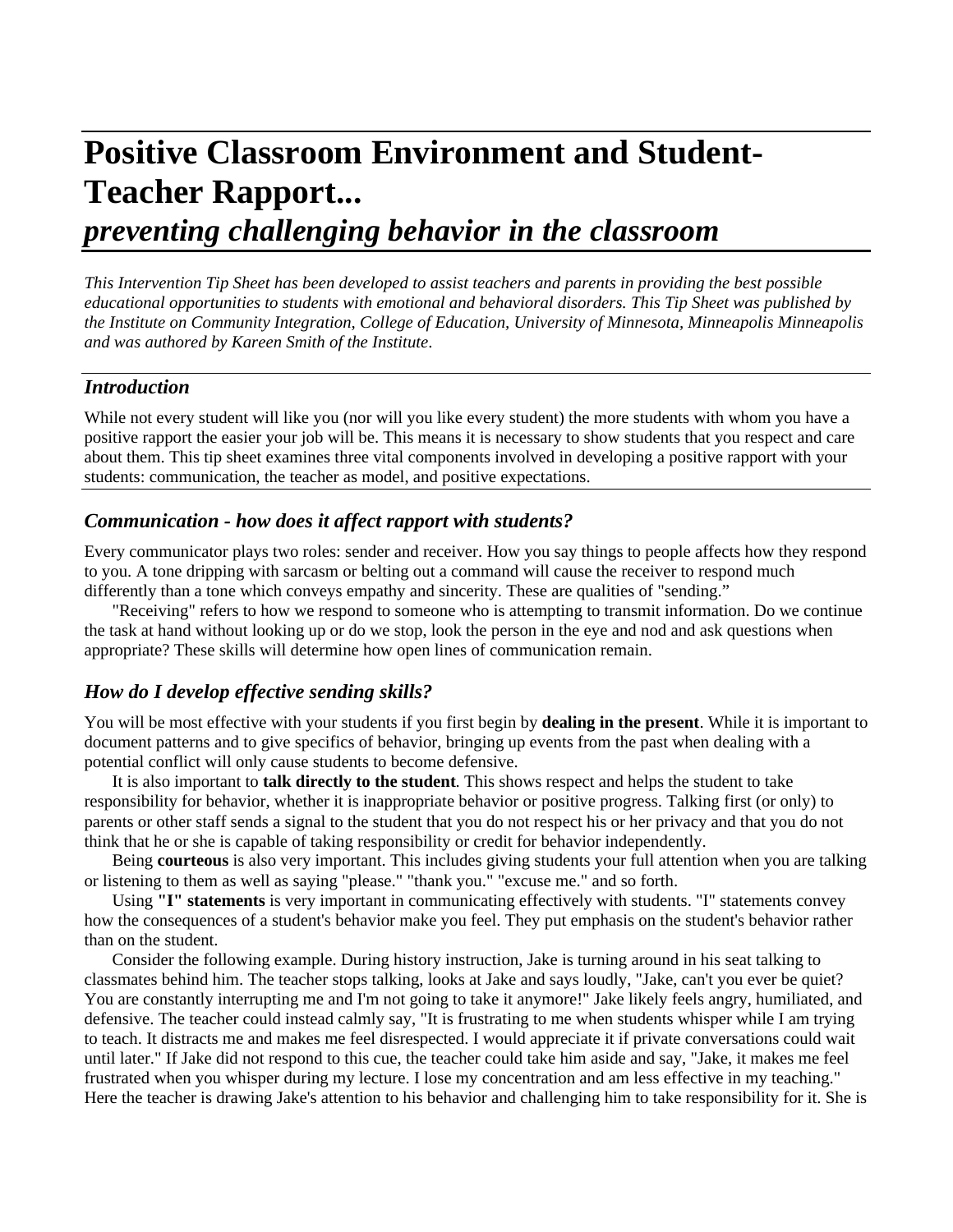# **Positive Classroom Environment and Student-Teacher Rapport...**

# *preventing challenging behavior in the classroom*

*This Intervention Tip Sheet has been developed to assist teachers and parents in providing the best possible educational opportunities to students with emotional and behavioral disorders. This Tip Sheet was published by the Institute on Community Integration, College of Education, University of Minnesota, Minneapolis Minneapolis and was authored by Kareen Smith of the Institute*.

## *Introduction*

While not every student will like you (nor will you like every student) the more students with whom you have a positive rapport the easier your job will be. This means it is necessary to show students that you respect and care about them. This tip sheet examines three vital components involved in developing a positive rapport with your students: communication, the teacher as model, and positive expectations.

#### *Communication - how does it affect rapport with students?*

Every communicator plays two roles: sender and receiver. How you say things to people affects how they respond to you. A tone dripping with sarcasm or belting out a command will cause the receiver to respond much differently than a tone which conveys empathy and sincerity. These are qualities of "sending."

"Receiving" refers to how we respond to someone who is attempting to transmit information. Do we continue the task at hand without looking up or do we stop, look the person in the eye and nod and ask questions when appropriate? These skills will determine how open lines of communication remain.

### *How do I develop effective sending skills?*

You will be most effective with your students if you first begin by **dealing in the present**. While it is important to document patterns and to give specifics of behavior, bringing up events from the past when dealing with a potential conflict will only cause students to become defensive.

It is also important to **talk directly to the student**. This shows respect and helps the student to take responsibility for behavior, whether it is inappropriate behavior or positive progress. Talking first (or only) to parents or other staff sends a signal to the student that you do not respect his or her privacy and that you do not think that he or she is capable of taking responsibility or credit for behavior independently.

Being **courteous** is also very important. This includes giving students your full attention when you are talking or listening to them as well as saying "please." "thank you." "excuse me." and so forth.

Using **"I" statements** is very important in communicating effectively with students. "I" statements convey how the consequences of a student's behavior make you feel. They put emphasis on the student's behavior rather than on the student.

Consider the following example. During history instruction, Jake is turning around in his seat talking to classmates behind him. The teacher stops talking, looks at Jake and says loudly, "Jake, can't you ever be quiet? You are constantly interrupting me and I'm not going to take it anymore!" Jake likely feels angry, humiliated, and defensive. The teacher could instead calmly say, "It is frustrating to me when students whisper while I am trying to teach. It distracts me and makes me feel disrespected. I would appreciate it if private conversations could wait until later." If Jake did not respond to this cue, the teacher could take him aside and say, "Jake, it makes me feel frustrated when you whisper during my lecture. I lose my concentration and am less effective in my teaching." Here the teacher is drawing Jake's attention to his behavior and challenging him to take responsibility for it. She is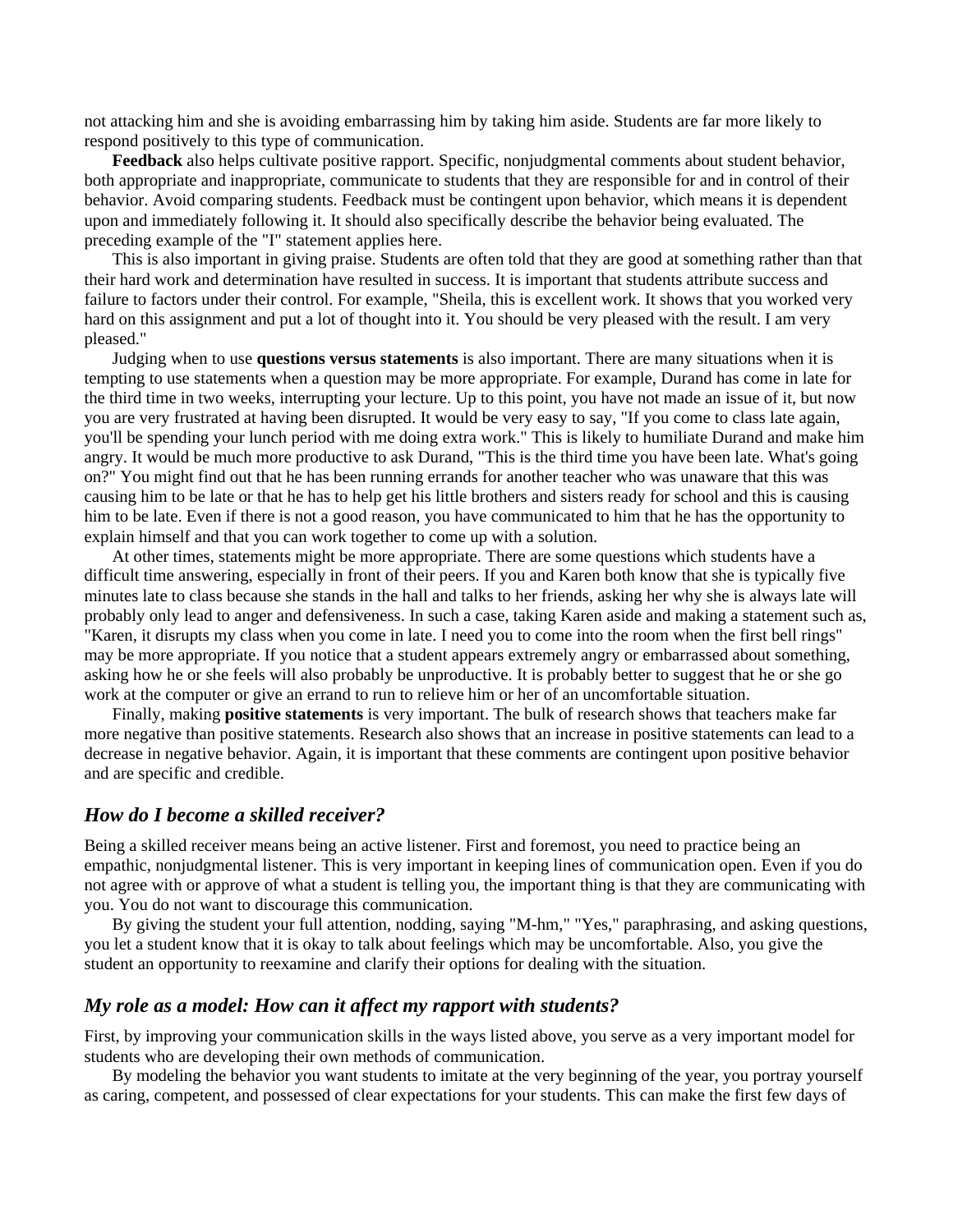not attacking him and she is avoiding embarrassing him by taking him aside. Students are far more likely to respond positively to this type of communication.

**Feedback** also helps cultivate positive rapport. Specific, nonjudgmental comments about student behavior, both appropriate and inappropriate, communicate to students that they are responsible for and in control of their behavior. Avoid comparing students. Feedback must be contingent upon behavior, which means it is dependent upon and immediately following it. It should also specifically describe the behavior being evaluated. The preceding example of the "I" statement applies here.

This is also important in giving praise. Students are often told that they are good at something rather than that their hard work and determination have resulted in success. It is important that students attribute success and failure to factors under their control. For example, "Sheila, this is excellent work. It shows that you worked very hard on this assignment and put a lot of thought into it. You should be very pleased with the result. I am very pleased."

Judging when to use **questions versus statements** is also important. There are many situations when it is tempting to use statements when a question may be more appropriate. For example, Durand has come in late for the third time in two weeks, interrupting your lecture. Up to this point, you have not made an issue of it, but now you are very frustrated at having been disrupted. It would be very easy to say, "If you come to class late again, you'll be spending your lunch period with me doing extra work." This is likely to humiliate Durand and make him angry. It would be much more productive to ask Durand, "This is the third time you have been late. What's going on?" You might find out that he has been running errands for another teacher who was unaware that this was causing him to be late or that he has to help get his little brothers and sisters ready for school and this is causing him to be late. Even if there is not a good reason, you have communicated to him that he has the opportunity to explain himself and that you can work together to come up with a solution.

At other times, statements might be more appropriate. There are some questions which students have a difficult time answering, especially in front of their peers. If you and Karen both know that she is typically five minutes late to class because she stands in the hall and talks to her friends, asking her why she is always late will probably only lead to anger and defensiveness. In such a case, taking Karen aside and making a statement such as, "Karen, it disrupts my class when you come in late. I need you to come into the room when the first bell rings" may be more appropriate. If you notice that a student appears extremely angry or embarrassed about something, asking how he or she feels will also probably be unproductive. It is probably better to suggest that he or she go work at the computer or give an errand to run to relieve him or her of an uncomfortable situation.

Finally, making **positive statements** is very important. The bulk of research shows that teachers make far more negative than positive statements. Research also shows that an increase in positive statements can lead to a decrease in negative behavior. Again, it is important that these comments are contingent upon positive behavior and are specific and credible.

#### *How do I become a skilled receiver?*

Being a skilled receiver means being an active listener. First and foremost, you need to practice being an empathic, nonjudgmental listener. This is very important in keeping lines of communication open. Even if you do not agree with or approve of what a student is telling you, the important thing is that they are communicating with you. You do not want to discourage this communication.

By giving the student your full attention, nodding, saying "M-hm," "Yes," paraphrasing, and asking questions, you let a student know that it is okay to talk about feelings which may be uncomfortable. Also, you give the student an opportunity to reexamine and clarify their options for dealing with the situation.

#### *My role as a model: How can it affect my rapport with students?*

First, by improving your communication skills in the ways listed above, you serve as a very important model for students who are developing their own methods of communication.

By modeling the behavior you want students to imitate at the very beginning of the year, you portray yourself as caring, competent, and possessed of clear expectations for your students. This can make the first few days of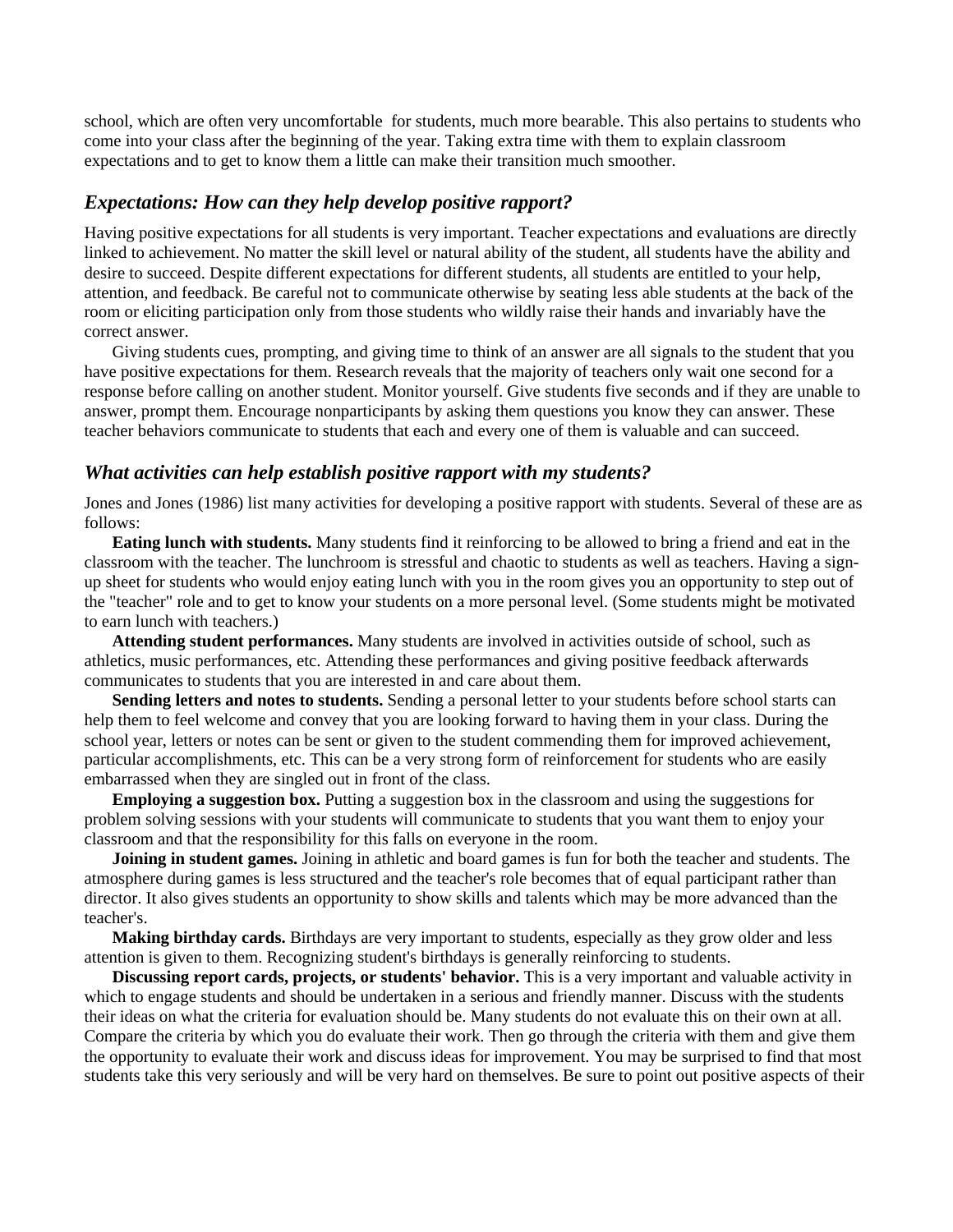school, which are often very uncomfortable for students, much more bearable. This also pertains to students who come into your class after the beginning of the year. Taking extra time with them to explain classroom expectations and to get to know them a little can make their transition much smoother.

#### *Expectations: How can they help develop positive rapport?*

Having positive expectations for all students is very important. Teacher expectations and evaluations are directly linked to achievement. No matter the skill level or natural ability of the student, all students have the ability and desire to succeed. Despite different expectations for different students, all students are entitled to your help, attention, and feedback. Be careful not to communicate otherwise by seating less able students at the back of the room or eliciting participation only from those students who wildly raise their hands and invariably have the correct answer.

Giving students cues, prompting, and giving time to think of an answer are all signals to the student that you have positive expectations for them. Research reveals that the majority of teachers only wait one second for a response before calling on another student. Monitor yourself. Give students five seconds and if they are unable to answer, prompt them. Encourage nonparticipants by asking them questions you know they can answer. These teacher behaviors communicate to students that each and every one of them is valuable and can succeed.

#### *What activities can help establish positive rapport with my students?*

Jones and Jones (1986) list many activities for developing a positive rapport with students. Several of these are as follows:

**Eating lunch with students.** Many students find it reinforcing to be allowed to bring a friend and eat in the classroom with the teacher. The lunchroom is stressful and chaotic to students as well as teachers. Having a signup sheet for students who would enjoy eating lunch with you in the room gives you an opportunity to step out of the "teacher" role and to get to know your students on a more personal level. (Some students might be motivated to earn lunch with teachers.)

**Attending student performances.** Many students are involved in activities outside of school, such as athletics, music performances, etc. Attending these performances and giving positive feedback afterwards communicates to students that you are interested in and care about them.

**Sending letters and notes to students.** Sending a personal letter to your students before school starts can help them to feel welcome and convey that you are looking forward to having them in your class. During the school year, letters or notes can be sent or given to the student commending them for improved achievement, particular accomplishments, etc. This can be a very strong form of reinforcement for students who are easily embarrassed when they are singled out in front of the class.

**Employing a suggestion box.** Putting a suggestion box in the classroom and using the suggestions for problem solving sessions with your students will communicate to students that you want them to enjoy your classroom and that the responsibility for this falls on everyone in the room.

**Joining in student games.** Joining in athletic and board games is fun for both the teacher and students. The atmosphere during games is less structured and the teacher's role becomes that of equal participant rather than director. It also gives students an opportunity to show skills and talents which may be more advanced than the teacher's.

**Making birthday cards.** Birthdays are very important to students, especially as they grow older and less attention is given to them. Recognizing student's birthdays is generally reinforcing to students.

**Discussing report cards, projects, or students' behavior.** This is a very important and valuable activity in which to engage students and should be undertaken in a serious and friendly manner. Discuss with the students their ideas on what the criteria for evaluation should be. Many students do not evaluate this on their own at all. Compare the criteria by which you do evaluate their work. Then go through the criteria with them and give them the opportunity to evaluate their work and discuss ideas for improvement. You may be surprised to find that most students take this very seriously and will be very hard on themselves. Be sure to point out positive aspects of their